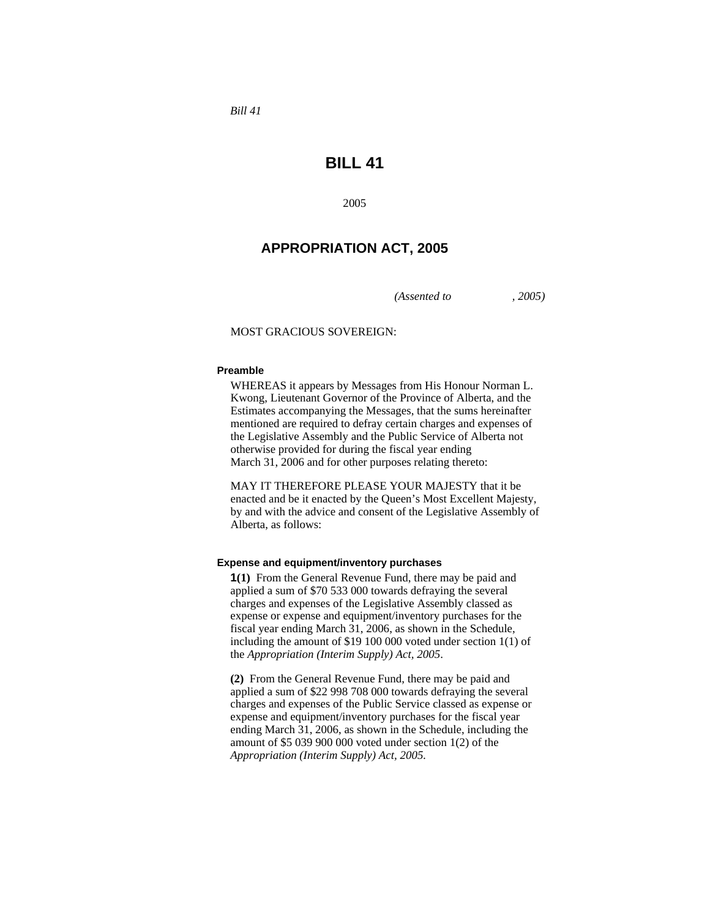*Bill 41* 

# **BILL 41**

2005

# **APPROPRIATION ACT, 2005**

*(Assented to , 2005)* 

### MOST GRACIOUS SOVEREIGN:

#### **Preamble**

WHEREAS it appears by Messages from His Honour Norman L. Kwong, Lieutenant Governor of the Province of Alberta, and the Estimates accompanying the Messages, that the sums hereinafter mentioned are required to defray certain charges and expenses of the Legislative Assembly and the Public Service of Alberta not otherwise provided for during the fiscal year ending March 31, 2006 and for other purposes relating thereto:

MAY IT THEREFORE PLEASE YOUR MAJESTY that it be enacted and be it enacted by the Queen's Most Excellent Majesty, by and with the advice and consent of the Legislative Assembly of Alberta, as follows:

#### **Expense and equipment/inventory purchases**

**1(1)** From the General Revenue Fund, there may be paid and applied a sum of \$70 533 000 towards defraying the several charges and expenses of the Legislative Assembly classed as expense or expense and equipment/inventory purchases for the fiscal year ending March 31, 2006, as shown in the Schedule, including the amount of \$19 100 000 voted under section 1(1) of the *Appropriation (Interim Supply) Act, 2005*.

**(2)** From the General Revenue Fund, there may be paid and applied a sum of \$22 998 708 000 towards defraying the several charges and expenses of the Public Service classed as expense or expense and equipment/inventory purchases for the fiscal year ending March 31, 2006, as shown in the Schedule, including the amount of \$5 039 900 000 voted under section 1(2) of the *Appropriation (Interim Supply) Act, 2005.*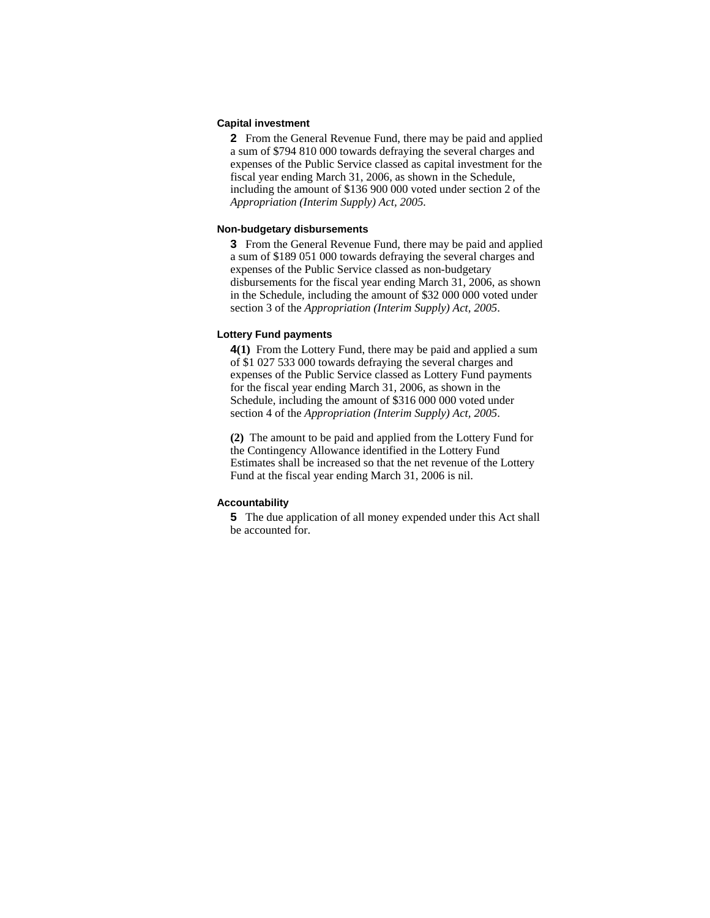#### **Capital investment**

**2** From the General Revenue Fund, there may be paid and applied a sum of \$794 810 000 towards defraying the several charges and expenses of the Public Service classed as capital investment for the fiscal year ending March 31, 2006, as shown in the Schedule, including the amount of \$136 900 000 voted under section 2 of the *Appropriation (Interim Supply) Act, 2005.*

#### **Non-budgetary disbursements**

**3** From the General Revenue Fund, there may be paid and applied a sum of \$189 051 000 towards defraying the several charges and expenses of the Public Service classed as non-budgetary disbursements for the fiscal year ending March 31, 2006, as shown in the Schedule, including the amount of \$32 000 000 voted under section 3 of the *Appropriation (Interim Supply) Act, 2005*.

#### **Lottery Fund payments**

**4(1)** From the Lottery Fund, there may be paid and applied a sum of \$1 027 533 000 towards defraying the several charges and expenses of the Public Service classed as Lottery Fund payments for the fiscal year ending March 31, 2006, as shown in the Schedule, including the amount of \$316 000 000 voted under section 4 of the *Appropriation (Interim Supply) Act, 2005*.

**(2)** The amount to be paid and applied from the Lottery Fund for the Contingency Allowance identified in the Lottery Fund Estimates shall be increased so that the net revenue of the Lottery Fund at the fiscal year ending March 31, 2006 is nil.

### **Accountability**

**5** The due application of all money expended under this Act shall be accounted for.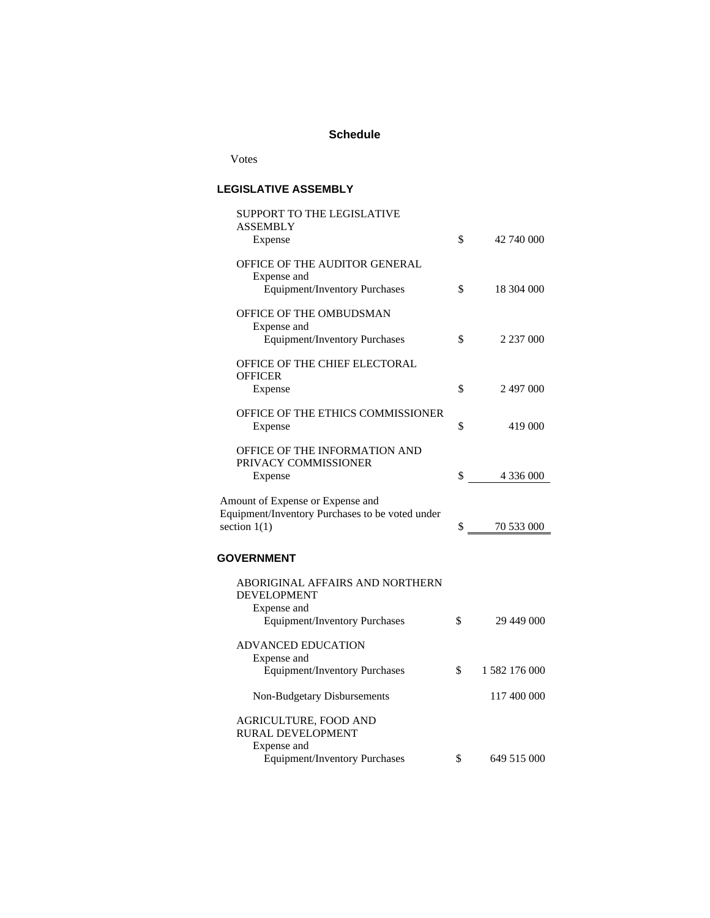## **Schedule**

Votes

## **LEGISLATIVE ASSEMBLY**

| SUPPORT TO THE LEGISLATIVE<br><b>ASSEMBLY</b>                                                         |                     |
|-------------------------------------------------------------------------------------------------------|---------------------|
| Expense                                                                                               | \$<br>42 740 000    |
| OFFICE OF THE AUDITOR GENERAL<br>Expense and                                                          |                     |
| <b>Equipment/Inventory Purchases</b>                                                                  | \$<br>18 304 000    |
| OFFICE OF THE OMBUDSMAN<br>Expense and<br><b>Equipment/Inventory Purchases</b>                        | \$<br>2 237 000     |
|                                                                                                       |                     |
| OFFICE OF THE CHIEF ELECTORAL<br><b>OFFICER</b>                                                       |                     |
| Expense                                                                                               | \$<br>2 497 000     |
| OFFICE OF THE ETHICS COMMISSIONER<br>Expense                                                          | \$<br>419 000       |
| OFFICE OF THE INFORMATION AND<br>PRIVACY COMMISSIONER                                                 | \$<br>4 336 000     |
| Expense                                                                                               |                     |
| Amount of Expense or Expense and<br>Equipment/Inventory Purchases to be voted under<br>section $1(1)$ | \$<br>70 533 000    |
|                                                                                                       |                     |
| <b>GOVERNMENT</b>                                                                                     |                     |
| ABORIGINAL AFFAIRS AND NORTHERN<br><b>DEVELOPMENT</b><br>Expense and                                  |                     |
| <b>Equipment/Inventory Purchases</b>                                                                  | \$<br>29 449 000    |
| ADVANCED EDUCATION<br>Expense and                                                                     |                     |
| <b>Equipment/Inventory Purchases</b>                                                                  | \$<br>1 582 176 000 |
| Non-Budgetary Disbursements                                                                           | 117 400 000         |
| AGRICULTURE, FOOD AND<br>RURAL DEVELOPMENT<br>Expense and                                             |                     |
| <b>Equipment/Inventory Purchases</b>                                                                  | \$<br>649 515 000   |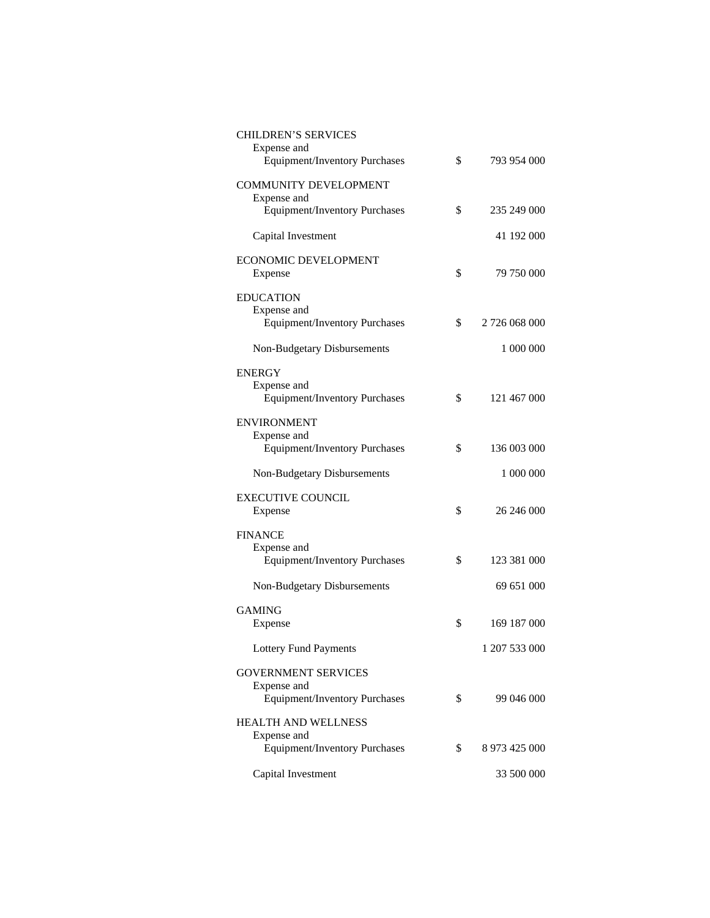| <b>CHILDREN'S SERVICES</b><br>Expense and<br><b>Equipment/Inventory Purchases</b> | \$<br>793 954 000   |
|-----------------------------------------------------------------------------------|---------------------|
|                                                                                   |                     |
| <b>COMMUNITY DEVELOPMENT</b><br>Expense and                                       |                     |
| <b>Equipment/Inventory Purchases</b>                                              | \$<br>235 249 000   |
| Capital Investment                                                                | 41 192 000          |
| <b>ECONOMIC DEVELOPMENT</b>                                                       |                     |
| Expense                                                                           | \$<br>79 750 000    |
| <b>EDUCATION</b>                                                                  |                     |
| Expense and<br><b>Equipment/Inventory Purchases</b>                               | \$<br>2 726 068 000 |
|                                                                                   |                     |
| Non-Budgetary Disbursements                                                       | 1 000 000           |
| <b>ENERGY</b>                                                                     |                     |
| Expense and                                                                       |                     |
| <b>Equipment/Inventory Purchases</b>                                              | \$<br>121 467 000   |
| <b>ENVIRONMENT</b>                                                                |                     |
| Expense and<br>Equipment/Inventory Purchases                                      | \$<br>136 003 000   |
|                                                                                   |                     |
| Non-Budgetary Disbursements                                                       | 1 000 000           |
| <b>EXECUTIVE COUNCIL</b>                                                          |                     |
| Expense                                                                           | \$<br>26 246 000    |
| <b>FINANCE</b>                                                                    |                     |
| Expense and                                                                       |                     |
| <b>Equipment/Inventory Purchases</b>                                              | \$<br>123 381 000   |
| Non-Budgetary Disbursements                                                       | 69 651 000          |
| <b>GAMING</b>                                                                     |                     |
| Expense                                                                           | \$<br>169 187 000   |
| <b>Lottery Fund Payments</b>                                                      | 1 207 533 000       |
| <b>GOVERNMENT SERVICES</b>                                                        |                     |
| Expense and                                                                       |                     |
| <b>Equipment/Inventory Purchases</b>                                              | \$<br>99 046 000    |
| <b>HEALTH AND WELLNESS</b>                                                        |                     |
| Expense and<br><b>Equipment/Inventory Purchases</b>                               | \$<br>8 973 425 000 |
|                                                                                   |                     |
| Capital Investment                                                                | 33 500 000          |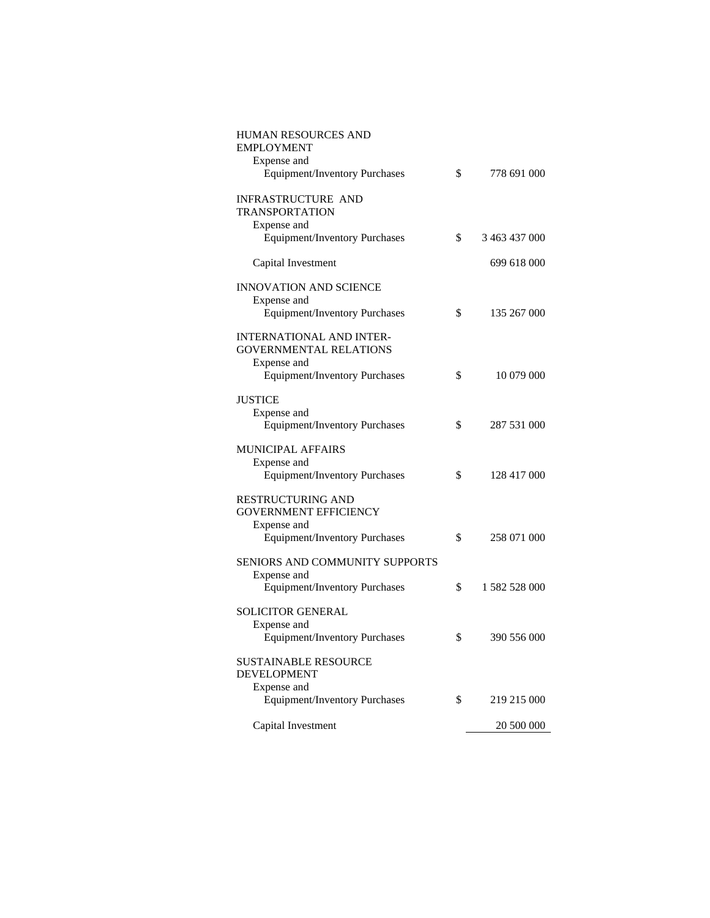| HUMAN RESOURCES AND<br><b>EMPLOYMENT</b>                                        |                     |
|---------------------------------------------------------------------------------|---------------------|
| Expense and<br><b>Equipment/Inventory Purchases</b>                             | \$<br>778 691 000   |
| INFRASTRUCTURE AND<br><b>TRANSPORTATION</b>                                     |                     |
| Expense and                                                                     |                     |
| <b>Equipment/Inventory Purchases</b>                                            | \$<br>3 463 437 000 |
| Capital Investment                                                              | 699 618 000         |
| <b>INNOVATION AND SCIENCE</b><br>Expense and                                    |                     |
| <b>Equipment/Inventory Purchases</b>                                            | \$<br>135 267 000   |
| <b>INTERNATIONAL AND INTER-</b><br><b>GOVERNMENTAL RELATIONS</b><br>Expense and |                     |
| <b>Equipment/Inventory Purchases</b>                                            | \$<br>10 079 000    |
| <b>JUSTICE</b><br>Expense and                                                   |                     |
| <b>Equipment/Inventory Purchases</b>                                            | \$<br>287 531 000   |
| <b>MUNICIPAL AFFAIRS</b><br>Expense and                                         |                     |
| <b>Equipment/Inventory Purchases</b>                                            | \$<br>128 417 000   |
| RESTRUCTURING AND<br><b>GOVERNMENT EFFICIENCY</b><br>Expense and                |                     |
| Equipment/Inventory Purchases                                                   | \$<br>258 071 000   |
| SENIORS AND COMMUNITY SUPPORTS<br>Expense and                                   |                     |
| <b>Equipment/Inventory Purchases</b>                                            | \$<br>1 582 528 000 |
| <b>SOLICITOR GENERAL</b><br>Expense and                                         |                     |
| <b>Equipment/Inventory Purchases</b>                                            | \$<br>390 556 000   |
| SUSTAINABLE RESOURCE<br><b>DEVELOPMENT</b>                                      |                     |
| Expense and<br><b>Equipment/Inventory Purchases</b>                             | \$<br>219 215 000   |
|                                                                                 |                     |
| Capital Investment                                                              | 20 500 000          |